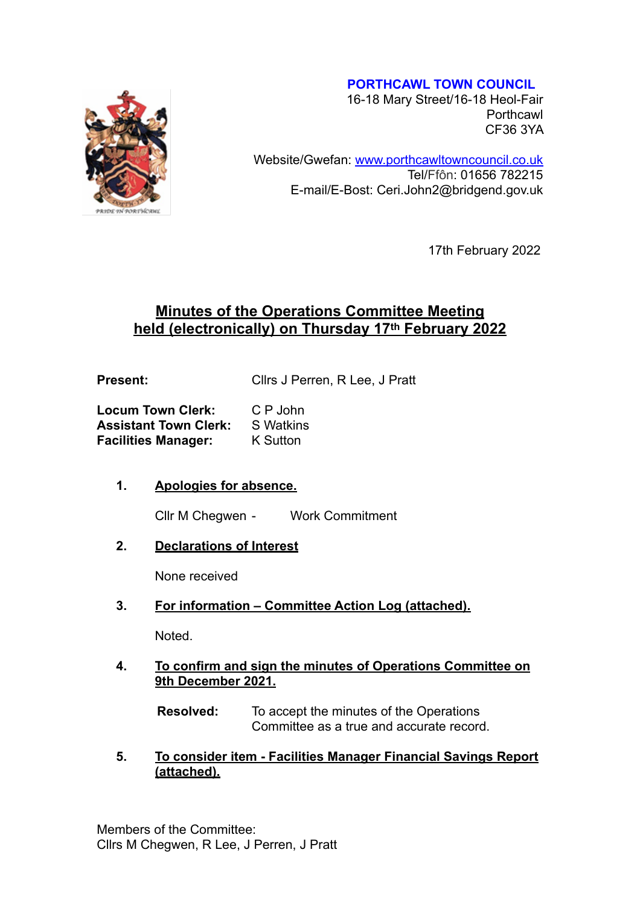#### **PORTHCAWL TOWN COUNCIL**



16-18 Mary Street/16-18 Heol-Fair **Porthcawl** CF36 3YA

Website/Gwefan: [www.porthcawltowncouncil.co.uk](http://www.porthcawltowncouncil.co.uk/) Tel/Ffôn: 01656 782215 E-mail/E-Bost: Ceri.John2@bridgend.gov.uk

17th February 2022

# **Minutes of the Operations Committee Meeting held (electronically) on Thursday 17th February 2022**

**Present:** Cllrs J Perren, R Lee, J Pratt

| <b>Locum Town Clerk:</b>     | C P John         |
|------------------------------|------------------|
| <b>Assistant Town Clerk:</b> | <b>S</b> Watkins |
| <b>Facilities Manager:</b>   | K Sutton         |

## **1. Apologies for absence.**

Cllr M Chegwen - Work Commitment

**2. Declarations of Interest** 

None received

**3. For information – Committee Action Log (attached).**

Noted.

**4. To confirm and sign the minutes of Operations Committee on 9th December 2021.** 

**Resolved:** To accept the minutes of the Operations Committee as a true and accurate record.

**5. To consider item - Facilities Manager Financial Savings Report (attached).**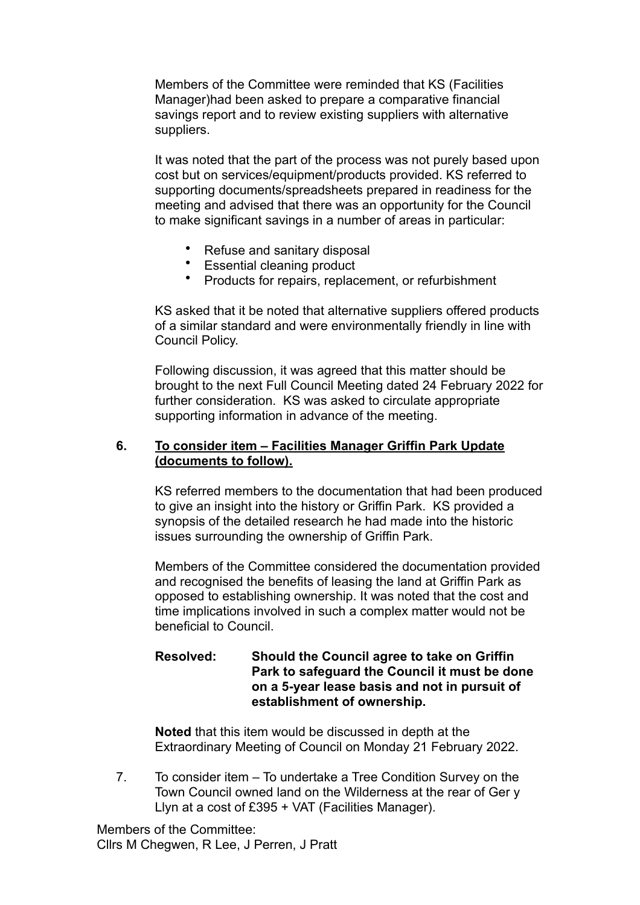Members of the Committee were reminded that KS (Facilities Manager)had been asked to prepare a comparative financial savings report and to review existing suppliers with alternative suppliers.

It was noted that the part of the process was not purely based upon cost but on services/equipment/products provided. KS referred to supporting documents/spreadsheets prepared in readiness for the meeting and advised that there was an opportunity for the Council to make significant savings in a number of areas in particular:

- Refuse and sanitary disposal
- Essential cleaning product
- Products for repairs, replacement, or refurbishment

KS asked that it be noted that alternative suppliers offered products of a similar standard and were environmentally friendly in line with Council Policy.

Following discussion, it was agreed that this matter should be brought to the next Full Council Meeting dated 24 February 2022 for further consideration. KS was asked to circulate appropriate supporting information in advance of the meeting.

#### **6. To consider item – Facilities Manager Griffin Park Update (documents to follow).**

KS referred members to the documentation that had been produced to give an insight into the history or Griffin Park. KS provided a synopsis of the detailed research he had made into the historic issues surrounding the ownership of Griffin Park.

Members of the Committee considered the documentation provided and recognised the benefits of leasing the land at Griffin Park as opposed to establishing ownership. It was noted that the cost and time implications involved in such a complex matter would not be beneficial to Council.

### **Resolved: Should the Council agree to take on Griffin Park to safeguard the Council it must be done on a 5-year lease basis and not in pursuit of establishment of ownership.**

**Noted** that this item would be discussed in depth at the Extraordinary Meeting of Council on Monday 21 February 2022.

7. To consider item – To undertake a Tree Condition Survey on the Town Council owned land on the Wilderness at the rear of Ger y Llyn at a cost of £395 + VAT (Facilities Manager).

Members of the Committee: Cllrs M Chegwen, R Lee, J Perren, J Pratt